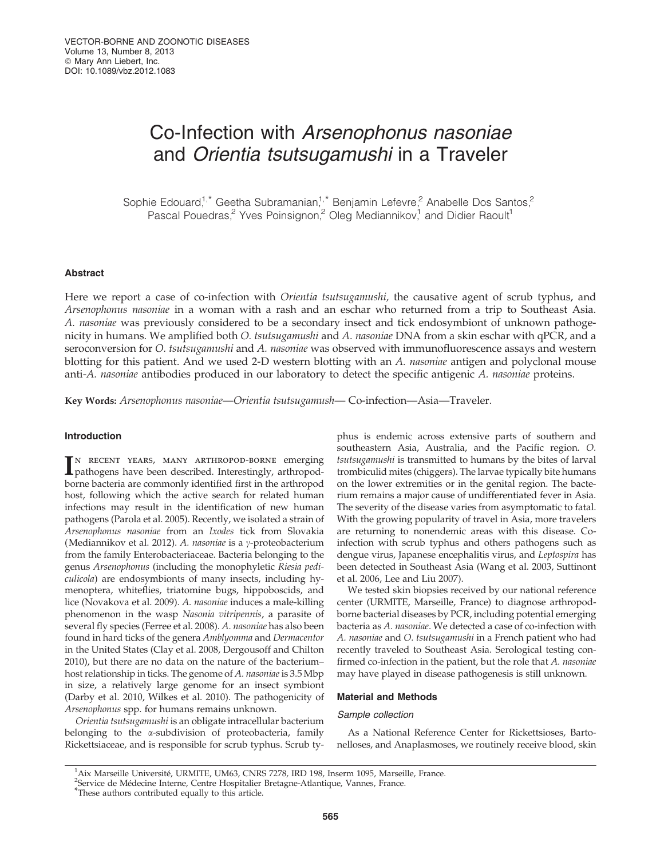# Co-Infection with Arsenophonus nasoniae and Orientia tsutsugamushi in a Traveler

Sophie Edouard,<sup>1,\*</sup> Geetha Subramanian,<sup>1,\*</sup> Benjamin Lefevre,<sup>2</sup> Anabelle Dos Santos,<sup>2</sup> Pascal Pouedras,<sup>2</sup> Yves Poinsignon,<sup>2</sup> Oleg Mediannikov,<sup>1</sup> and Didier Raoult<sup>1</sup>

# Abstract

Here we report a case of co-infection with *Orientia tsutsugamushi*, the causative agent of scrub typhus, and Arsenophonus nasoniae in a woman with a rash and an eschar who returned from a trip to Southeast Asia. A. nasoniae was previously considered to be a secondary insect and tick endosymbiont of unknown pathogenicity in humans. We amplified both O. tsutsugamushi and A. nasoniae DNA from a skin eschar with qPCR, and a seroconversion for O. tsutsugamushi and A. nasoniae was observed with immunofluorescence assays and western blotting for this patient. And we used 2-D western blotting with an A. *nasoniae* antigen and polyclonal mouse anti-A. nasoniae antibodies produced in our laboratory to detect the specific antigenic A. nasoniae proteins.

Key Words: Arsenophonus nasoniae—Orientia tsutsugamush— Co-infection—Asia—Traveler.

#### Introduction

IN RECENT YEARS, MANY ARTHROPOD-BORNE emerging<br>pathogens have been described. Interestingly, arthropodpathogens have been described. Interestingly, arthropodborne bacteria are commonly identified first in the arthropod host, following which the active search for related human infections may result in the identification of new human pathogens (Parola et al. 2005). Recently, we isolated a strain of Arsenophonus nasoniae from an Ixodes tick from Slovakia (Mediannikov et al. 2012). A. nasoniae is a  $\gamma$ -proteobacterium from the family Enterobacteriaceae. Bacteria belonging to the genus Arsenophonus (including the monophyletic Riesia pediculicola) are endosymbionts of many insects, including hymenoptera, whiteflies, triatomine bugs, hippoboscids, and lice (Novakova et al. 2009). A. nasoniae induces a male-killing phenomenon in the wasp Nasonia vitripennis, a parasite of several fly species (Ferree et al. 2008). A. nasoniae has also been found in hard ticks of the genera Amblyomma and Dermacentor in the United States (Clay et al. 2008, Dergousoff and Chilton 2010), but there are no data on the nature of the bacterium– host relationship in ticks. The genome of A. nasoniae is 3.5 Mbp in size, a relatively large genome for an insect symbiont (Darby et al. 2010, Wilkes et al. 2010). The pathogenicity of Arsenophonus spp. for humans remains unknown.

Orientia tsutsugamushi is an obligate intracellular bacterium belonging to the *x*-subdivision of proteobacteria, family Rickettsiaceae, and is responsible for scrub typhus. Scrub ty-

phus is endemic across extensive parts of southern and southeastern Asia, Australia, and the Pacific region. O. tsutsugamushi is transmitted to humans by the bites of larval trombiculid mites (chiggers). The larvae typically bite humans on the lower extremities or in the genital region. The bacterium remains a major cause of undifferentiated fever in Asia. The severity of the disease varies from asymptomatic to fatal. With the growing popularity of travel in Asia, more travelers are returning to nonendemic areas with this disease. Coinfection with scrub typhus and others pathogens such as dengue virus, Japanese encephalitis virus, and Leptospira has been detected in Southeast Asia (Wang et al. 2003, Suttinont et al. 2006, Lee and Liu 2007).

We tested skin biopsies received by our national reference center (URMITE, Marseille, France) to diagnose arthropodborne bacterial diseases by PCR, including potential emerging bacteria as A. nasoniae. We detected a case of co-infection with A. nasoniae and O. tsutsugamushi in a French patient who had recently traveled to Southeast Asia. Serological testing confirmed co-infection in the patient, but the role that A. nasoniae may have played in disease pathogenesis is still unknown.

#### Material and Methods

# Sample collection

As a National Reference Center for Rickettsioses, Bartonelloses, and Anaplasmoses, we routinely receive blood, skin

<sup>&</sup>lt;sup>1</sup> Aix Marseille Université, URMITE, UM63, CNRS 7278, IRD 198, Inserm 1095, Marseille, France.<br><sup>2</sup>Service de Médecine Interne, Centre Hospitalier Bretagne-Atlantique, Vannes, France.

<sup>&</sup>lt;sup>2</sup>Service de Médecine Interne, Centre Hospitalier Bretagne-Atlantique, Vannes, France.<br><sup>\*</sup>These authors contributed equally to this article.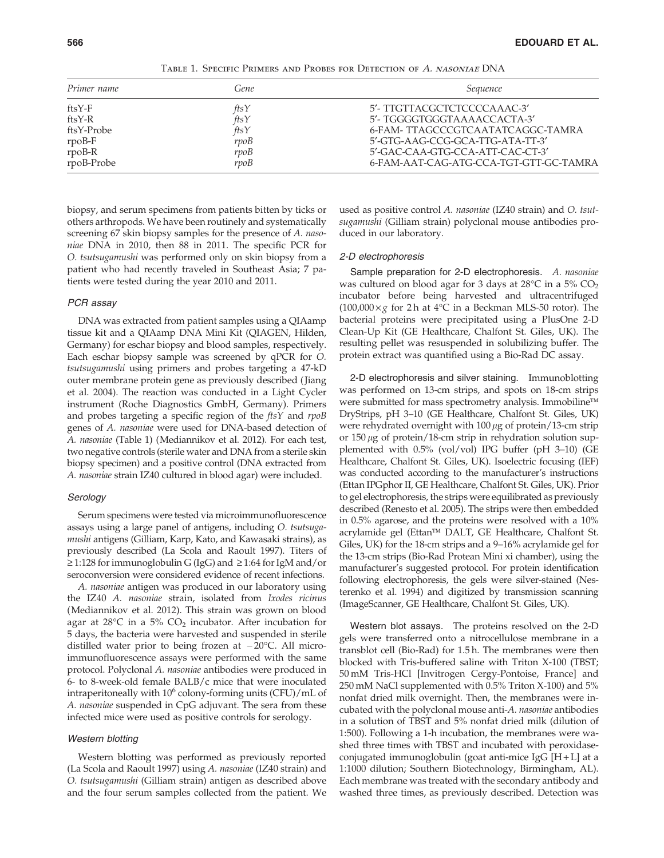| TABLE 1. SPECIFIC PRIMERS AND PROBES FOR DETECTION OF A. NASONIAE DNA |
|-----------------------------------------------------------------------|
|                                                                       |

| Gene       | Sequence                               |  |  |  |  |
|------------|----------------------------------------|--|--|--|--|
|            | 5'- TTGTTACGCTCTCCCCAAAC-3'            |  |  |  |  |
|            | 5'- TGGGGTGGGTAAAACCACTA-3'            |  |  |  |  |
| $f$ ts $Y$ | 6-FAM-TTAGCCCGTCAATATCAGGC-TAMRA       |  |  |  |  |
| rpoB       | 5'-GTG-AAG-CCG-GCA-TTG-ATA-TT-3'       |  |  |  |  |
| rpoB       | 5'-GAC-CAA-GTG-CCA-ATT-CAC-CT-3'       |  |  |  |  |
| rvoB       | 6-FAM-AAT-CAG-ATG-CCA-TGT-GTT-GC-TAMRA |  |  |  |  |
|            | ftsY<br>$\hat{f}$ ts $Y$               |  |  |  |  |

biopsy, and serum specimens from patients bitten by ticks or others arthropods. We have been routinely and systematically screening 67 skin biopsy samples for the presence of A. nasoniae DNA in 2010, then 88 in 2011. The specific PCR for O. tsutsugamushi was performed only on skin biopsy from a patient who had recently traveled in Southeast Asia; 7 patients were tested during the year 2010 and 2011.

# PCR assay

DNA was extracted from patient samples using a QIAamp tissue kit and a QIAamp DNA Mini Kit (QIAGEN, Hilden, Germany) for eschar biopsy and blood samples, respectively. Each eschar biopsy sample was screened by qPCR for O. tsutsugamushi using primers and probes targeting a 47-kD outer membrane protein gene as previously described ( Jiang et al. 2004). The reaction was conducted in a Light Cycler instrument (Roche Diagnostics GmbH, Germany). Primers and probes targeting a specific region of the ftsY and rpoB genes of A. nasoniae were used for DNA-based detection of A. nasoniae (Table 1) (Mediannikov et al. 2012). For each test, two negative controls (sterile water and DNA from a sterile skin biopsy specimen) and a positive control (DNA extracted from A. nasoniae strain IZ40 cultured in blood agar) were included.

#### **Serology**

Serum specimens were tested via microimmunofluorescence assays using a large panel of antigens, including O. tsutsugamushi antigens (Gilliam, Karp, Kato, and Kawasaki strains), as previously described (La Scola and Raoult 1997). Titers of  $\ge$  1:128 for immunoglobulin G (IgG) and  $\ge$  1:64 for IgM and/or seroconversion were considered evidence of recent infections.

A. nasoniae antigen was produced in our laboratory using the IZ40 A. nasoniae strain, isolated from Ixodes ricinus (Mediannikov et al. 2012). This strain was grown on blood agar at 28°C in a 5%  $CO<sub>2</sub>$  incubator. After incubation for 5 days, the bacteria were harvested and suspended in sterile distilled water prior to being frozen at  $-20^{\circ}$ C. All microimmunofluorescence assays were performed with the same protocol. Polyclonal A. nasoniae antibodies were produced in 6- to 8-week-old female BALB/c mice that were inoculated intraperitoneally with  $10^6$  colony-forming units (CFU)/mL of A. nasoniae suspended in CpG adjuvant. The sera from these infected mice were used as positive controls for serology.

# Western blotting

Western blotting was performed as previously reported (La Scola and Raoult 1997) using A. nasoniae (IZ40 strain) and O. tsutsugamushi (Gilliam strain) antigen as described above and the four serum samples collected from the patient. We used as positive control A. nasoniae (IZ40 strain) and O. tsutsugamushi (Gilliam strain) polyclonal mouse antibodies produced in our laboratory.

#### 2-D electrophoresis

Sample preparation for 2-D electrophoresis. A. nasoniae was cultured on blood agar for 3 days at 28°C in a 5%  $\rm CO_2$ incubator before being harvested and ultracentrifuged  $(100,000 \times g$  for 2 h at 4°C in a Beckman MLS-50 rotor). The bacterial proteins were precipitated using a PlusOne 2-D Clean-Up Kit (GE Healthcare, Chalfont St. Giles, UK). The resulting pellet was resuspended in solubilizing buffer. The protein extract was quantified using a Bio-Rad DC assay.

2-D electrophoresis and silver staining. Immunoblotting was performed on 13-cm strips, and spots on 18-cm strips were submitted for mass spectrometry analysis. Immobiline<sup>™</sup> DryStrips, pH 3–10 (GE Healthcare, Chalfont St. Giles, UK) were rehydrated overnight with  $100 \mu$ g of protein/13-cm strip or  $150 \mu$ g of protein/18-cm strip in rehydration solution supplemented with 0.5% (vol/vol) IPG buffer (pH 3–10) (GE Healthcare, Chalfont St. Giles, UK). Isoelectric focusing (IEF) was conducted according to the manufacturer's instructions (Ettan IPGphor II, GE Healthcare, Chalfont St. Giles, UK). Prior to gel electrophoresis, the strips were equilibrated as previously described (Renesto et al. 2005). The strips were then embedded in 0.5% agarose, and the proteins were resolved with a 10% acrylamide gel (Ettan™ DALT, GE Healthcare, Chalfont St. Giles, UK) for the 18-cm strips and a 9–16% acrylamide gel for the 13-cm strips (Bio-Rad Protean Mini xi chamber), using the manufacturer's suggested protocol. For protein identification following electrophoresis, the gels were silver-stained (Nesterenko et al. 1994) and digitized by transmission scanning (ImageScanner, GE Healthcare, Chalfont St. Giles, UK).

Western blot assays. The proteins resolved on the 2-D gels were transferred onto a nitrocellulose membrane in a transblot cell (Bio-Rad) for 1.5 h. The membranes were then blocked with Tris-buffered saline with Triton X-100 (TBST; 50 mM Tris-HCl [Invitrogen Cergy-Pontoise, France] and 250 mM NaCl supplemented with 0.5% Triton X-100) and 5% nonfat dried milk overnight. Then, the membranes were incubated with the polyclonal mouse anti-A. nasoniae antibodies in a solution of TBST and 5% nonfat dried milk (dilution of 1:500). Following a 1-h incubation, the membranes were washed three times with TBST and incubated with peroxidaseconjugated immunoglobulin (goat anti-mice IgG [H + L] at a 1:1000 dilution; Southern Biotechnology, Birmingham, AL). Each membrane was treated with the secondary antibody and washed three times, as previously described. Detection was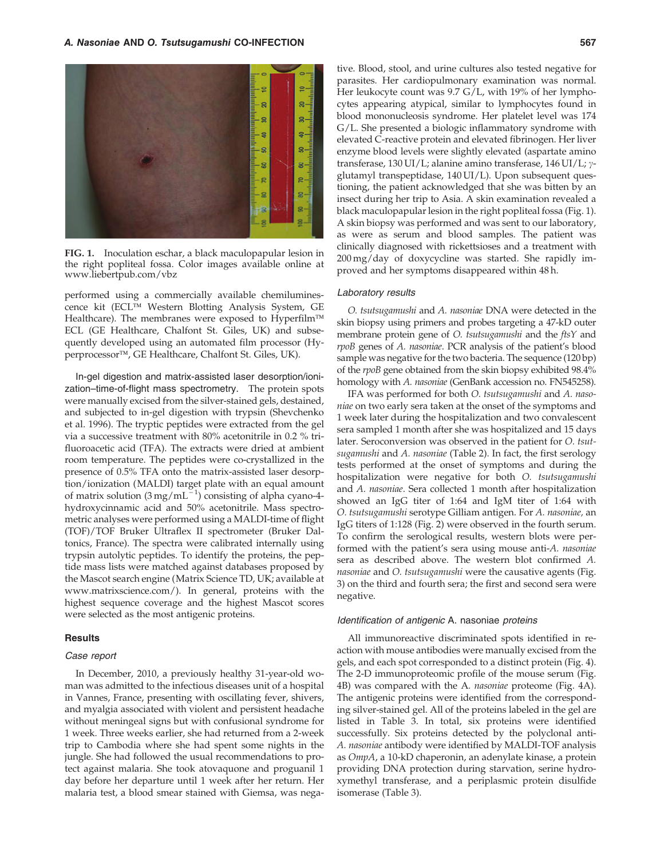

FIG. 1. Inoculation eschar, a black maculopapular lesion in the right popliteal fossa. Color images available online at www.liebertpub.com/vbz

performed using a commercially available chemiluminescence kit (ECL™ Western Blotting Analysis System, GE Healthcare). The membranes were exposed to Hyperfilm™ ECL (GE Healthcare, Chalfont St. Giles, UK) and subsequently developed using an automated film processor (Hyperprocessor™, GE Healthcare, Chalfont St. Giles, UK).

In-gel digestion and matrix-assisted laser desorption/ionization–time-of-flight mass spectrometry. The protein spots were manually excised from the silver-stained gels, destained, and subjected to in-gel digestion with trypsin (Shevchenko et al. 1996). The tryptic peptides were extracted from the gel via a successive treatment with 80% acetonitrile in 0.2 % trifluoroacetic acid (TFA). The extracts were dried at ambient room temperature. The peptides were co-crystallized in the presence of 0.5% TFA onto the matrix-assisted laser desorption/ionization (MALDI) target plate with an equal amount of matrix solution  $(3 \text{ mg/mL}^{-1})$  consisting of alpha cyano-4hydroxycinnamic acid and 50% acetonitrile. Mass spectrometric analyses were performed using a MALDI-time of flight (TOF)/TOF Bruker Ultraflex II spectrometer (Bruker Daltonics, France). The spectra were calibrated internally using trypsin autolytic peptides. To identify the proteins, the peptide mass lists were matched against databases proposed by the Mascot search engine (Matrix Science TD, UK; available at www.matrixscience.com/). In general, proteins with the highest sequence coverage and the highest Mascot scores were selected as the most antigenic proteins.

# **Results**

# Case report

In December, 2010, a previously healthy 31-year-old woman was admitted to the infectious diseases unit of a hospital in Vannes, France, presenting with oscillating fever, shivers, and myalgia associated with violent and persistent headache without meningeal signs but with confusional syndrome for 1 week. Three weeks earlier, she had returned from a 2-week trip to Cambodia where she had spent some nights in the jungle. She had followed the usual recommendations to protect against malaria. She took atovaquone and proguanil 1 day before her departure until 1 week after her return. Her malaria test, a blood smear stained with Giemsa, was nega-

tive. Blood, stool, and urine cultures also tested negative for parasites. Her cardiopulmonary examination was normal. Her leukocyte count was 9.7 G/L, with 19% of her lymphocytes appearing atypical, similar to lymphocytes found in blood mononucleosis syndrome. Her platelet level was 174 G/L. She presented a biologic inflammatory syndrome with elevated C-reactive protein and elevated fibrinogen. Her liver enzyme blood levels were slightly elevated (aspartate amino transferase, 130 UI/L; alanine amino transferase, 146 UI/L;  $\gamma$ glutamyl transpeptidase, 140 UI/L). Upon subsequent questioning, the patient acknowledged that she was bitten by an insect during her trip to Asia. A skin examination revealed a black maculopapular lesion in the right popliteal fossa (Fig. 1). A skin biopsy was performed and was sent to our laboratory, as were as serum and blood samples. The patient was clinically diagnosed with rickettsioses and a treatment with 200 mg/day of doxycycline was started. She rapidly improved and her symptoms disappeared within 48 h.

## Laboratory results

O. tsutsugamushi and A. nasoniae DNA were detected in the skin biopsy using primers and probes targeting a 47-kD outer membrane protein gene of *O. tsutsugamushi* and the *ftsY* and rpoB genes of A. nasoniae. PCR analysis of the patient's blood sample was negative for the two bacteria. The sequence (120 bp) of the rpoB gene obtained from the skin biopsy exhibited 98.4% homology with A. nasoniae (GenBank accession no. FN545258).

IFA was performed for both O. tsutsugamushi and A. nasoniae on two early sera taken at the onset of the symptoms and 1 week later during the hospitalization and two convalescent sera sampled 1 month after she was hospitalized and 15 days later. Seroconversion was observed in the patient for O. tsutsugamushi and A. nasoniae (Table 2). In fact, the first serology tests performed at the onset of symptoms and during the hospitalization were negative for both O. tsutsugamushi and A. nasoniae. Sera collected 1 month after hospitalization showed an IgG titer of 1:64 and IgM titer of 1:64 with O. tsutsugamushi serotype Gilliam antigen. For A. nasoniae, an IgG titers of 1:128 (Fig. 2) were observed in the fourth serum. To confirm the serological results, western blots were performed with the patient's sera using mouse anti-A. nasoniae sera as described above. The western blot confirmed A. nasoniae and O. tsutsugamushi were the causative agents (Fig. 3) on the third and fourth sera; the first and second sera were negative.

#### Identification of antigenic A. nasoniae proteins

All immunoreactive discriminated spots identified in reaction with mouse antibodies were manually excised from the gels, and each spot corresponded to a distinct protein (Fig. 4). The 2-D immunoproteomic profile of the mouse serum (Fig. 4B) was compared with the A. nasoniae proteome (Fig. 4A). The antigenic proteins were identified from the corresponding silver-stained gel. All of the proteins labeled in the gel are listed in Table 3. In total, six proteins were identified successfully. Six proteins detected by the polyclonal anti-A. nasoniae antibody were identified by MALDI-TOF analysis as OmpA, a 10-kD chaperonin, an adenylate kinase, a protein providing DNA protection during starvation, serine hydroxymethyl transferase, and a periplasmic protein disulfide isomerase (Table 3).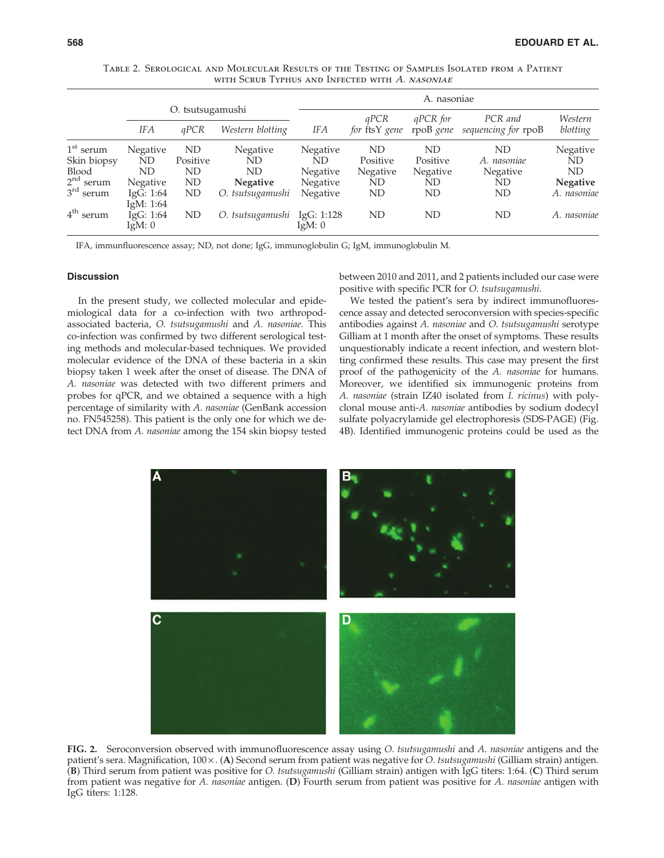|                            |                            |                          |                  | A. nasoniae             |                       |                              |                                |                     |  |
|----------------------------|----------------------------|--------------------------|------------------|-------------------------|-----------------------|------------------------------|--------------------------------|---------------------|--|
|                            | <b>IFA</b>                 | O. tsutsugamushi<br>qPCR | Western blotting | IFA                     | qPCR<br>for ftsY gene | <i>aPCR</i> for<br>rpoB gene | PCR and<br>sequencing for rpoB | Western<br>blotting |  |
| $1st$ serum<br>Skin biopsy | Negative<br>ND             | ND<br>Positive           | Negative<br>ND   | <b>Negative</b><br>ND   | ND<br>Positive        | ND<br>Positive               | ND<br>A. nasoniae              | Negative<br>ND      |  |
| Blood                      | ND                         | ND.                      | ND               | <b>Negative</b>         | <b>Negative</b>       | Negative                     | Negative                       | ND                  |  |
| $2nd$ serum                | Negative                   | ND                       | <b>Negative</b>  | <b>Negative</b>         | ND                    | ND                           | ND                             | <b>Negative</b>     |  |
| $3rd$ serum                | IgG: $1:64$<br>IgM: $1:64$ | ND                       | O. tsutsugamushi | <b>Negative</b>         | ND                    | ND                           | ND                             | A. nasoniae         |  |
| $4th$ serum                | IgG: $1:64$<br>Ig $M: 0$   | ND                       | O. tsutsugamushi | IgG: 1:128<br>Ig $M: 0$ | ND                    | <b>ND</b>                    | ND                             | A. nasoniae         |  |

Table 2. Serological and Molecular Results of the Testing of Samples Isolated from a Patient with Scrub Typhus and Infected with A. NASONIAE

IFA, immunfluorescence assay; ND, not done; IgG, immunoglobulin G; IgM, immunoglobulin M.

#### **Discussion**

In the present study, we collected molecular and epidemiological data for a co-infection with two arthropodassociated bacteria, O. tsutsugamushi and A. nasoniae. This co-infection was confirmed by two different serological testing methods and molecular-based techniques. We provided molecular evidence of the DNA of these bacteria in a skin biopsy taken 1 week after the onset of disease. The DNA of A. nasoniae was detected with two different primers and probes for qPCR, and we obtained a sequence with a high percentage of similarity with A. nasoniae (GenBank accession no. FN545258). This patient is the only one for which we detect DNA from A. nasoniae among the 154 skin biopsy tested between 2010 and 2011, and 2 patients included our case were positive with specific PCR for O. tsutsugamushi.

We tested the patient's sera by indirect immunofluorescence assay and detected seroconversion with species-specific antibodies against A. nasoniae and O. tsutsugamushi serotype Gilliam at 1 month after the onset of symptoms. These results unquestionably indicate a recent infection, and western blotting confirmed these results. This case may present the first proof of the pathogenicity of the A. nasoniae for humans. Moreover, we identified six immunogenic proteins from A. nasoniae (strain IZ40 isolated from I. ricinus) with polyclonal mouse anti-A. nasoniae antibodies by sodium dodecyl sulfate polyacrylamide gel electrophoresis (SDS-PAGE) (Fig. 4B). Identified immunogenic proteins could be used as the



FIG. 2. Seroconversion observed with immunofluorescence assay using O. tsutsugamushi and A. nasoniae antigens and the patient's sera. Magnification,  $100 \times A$ . (A) Second serum from patient was negative for *O. tsutsugamushi* (Gilliam strain) antigen. (B) Third serum from patient was positive for O. tsutsugamushi (Gilliam strain) antigen with IgG titers: 1:64. (C) Third serum from patient was negative for A. nasoniae antigen. (D) Fourth serum from patient was positive for A. nasoniae antigen with IgG titers: 1:128.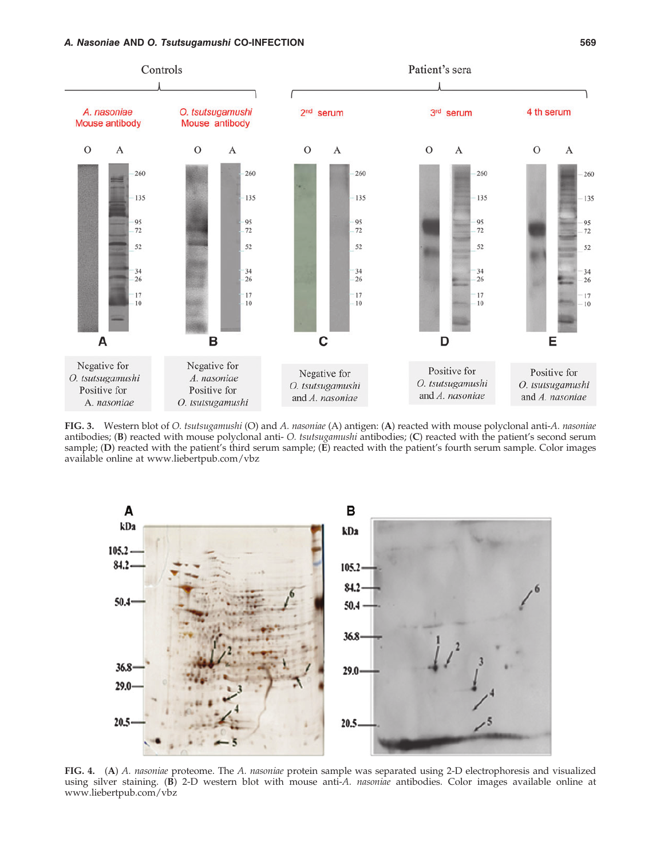# A. Nasoniae AND O. Tsutsugamushi CO-INFECTION 569



FIG. 3. Western blot of O. tsutsugamushi (O) and A. nasoniae (A) antigen: (A) reacted with mouse polyclonal anti-A. nasoniae antibodies; (B) reacted with mouse polyclonal anti- O. tsutsugamushi antibodies; (C) reacted with the patient's second serum sample; (D) reacted with the patient's third serum sample; (E) reacted with the patient's fourth serum sample. Color images available online at www.liebertpub.com/vbz



FIG. 4. (A) A. nasoniae proteome. The A. nasoniae protein sample was separated using 2-D electrophoresis and visualized using silver staining. (B) 2-D western blot with mouse anti-A. *nasoniae* antibodies. Color images available online at www.liebertpub.com/vbz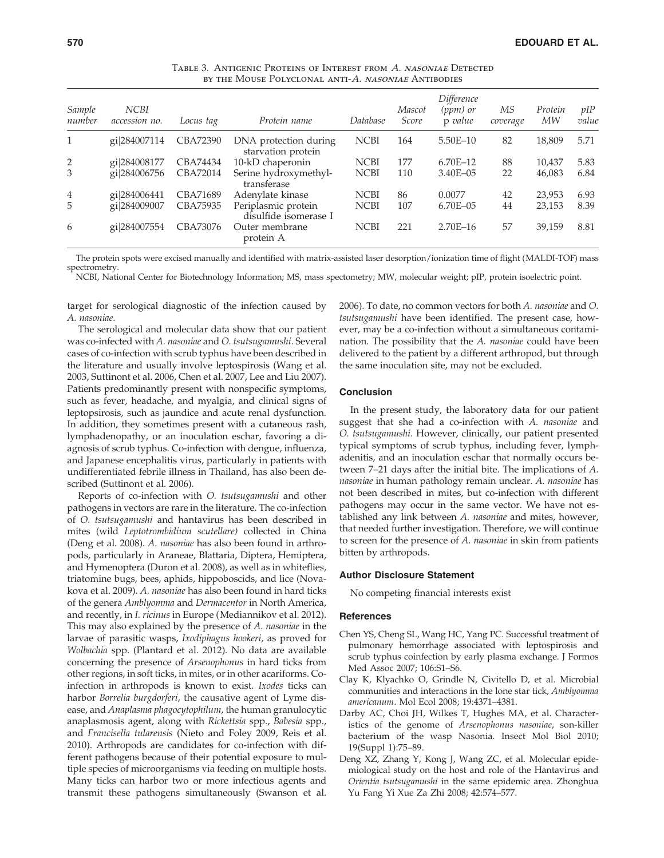| Sample<br>number | <b>NCBI</b><br>accession no. | Locus tag | Protein name                                 | Database    | Mascot<br>Score | Difference<br>(ppm) or<br>p value | МS<br>coverage | Protein<br>MW | pIP<br>value |
|------------------|------------------------------|-----------|----------------------------------------------|-------------|-----------------|-----------------------------------|----------------|---------------|--------------|
| $\mathbf{1}$     | gi 284007114                 | CBA72390  | DNA protection during<br>starvation protein  | <b>NCBI</b> | 164             | 5.50E-10                          | 82             | 18,809        | 5.71         |
| $\overline{2}$   | gi 284008177                 | CBA74434  | 10-kD chaperonin                             | <b>NCBI</b> | 177             | $6.70E - 12$                      | 88             | 10,437        | 5.83         |
| 3                | gi 284006756                 | CBA72014  | Serine hydroxymethyl-<br>transferase         | <b>NCBI</b> | 110             | 3.40E-05                          | 22             | 46,083        | 6.84         |
| 4                | gi 284006441                 | CBA71689  | Adenylate kinase                             | <b>NCBI</b> | 86              | 0.0077                            | 42             | 23,953        | 6.93         |
| 5                | gi 284009007                 | CBA75935  | Periplasmic protein<br>disulfide isomerase I | <b>NCBI</b> | 107             | 6.70E-05                          | 44             | 23,153        | 8.39         |
| 6                | gi 284007554                 | CBA73076  | Outer membrane<br>protein A                  | <b>NCBI</b> | 221             | $2.70E - 16$                      | 57             | 39,159        | 8.81         |

Table 3. Antigenic Proteins of Interest from A. nasoniae Detected by the Mouse Polyclonal anti-A. NASONIAE ANTIBODIES

The protein spots were excised manually and identified with matrix-assisted laser desorption/ionization time of flight (MALDI-TOF) mass spectrometry.

NCBI, National Center for Biotechnology Information; MS, mass spectometry; MW, molecular weight; pIP, protein isoelectric point.

target for serological diagnostic of the infection caused by A. nasoniae.

The serological and molecular data show that our patient was co-infected with A. nasoniae and O. tsutsugamushi. Several cases of co-infection with scrub typhus have been described in the literature and usually involve leptospirosis (Wang et al. 2003, Suttinont et al. 2006, Chen et al. 2007, Lee and Liu 2007). Patients predominantly present with nonspecific symptoms, such as fever, headache, and myalgia, and clinical signs of leptopsirosis, such as jaundice and acute renal dysfunction. In addition, they sometimes present with a cutaneous rash, lymphadenopathy, or an inoculation eschar, favoring a diagnosis of scrub typhus. Co-infection with dengue, influenza, and Japanese encephalitis virus, particularly in patients with undifferentiated febrile illness in Thailand, has also been described (Suttinont et al. 2006).

Reports of co-infection with O. tsutsugamushi and other pathogens in vectors are rare in the literature. The co-infection of O. tsutsugamushi and hantavirus has been described in mites (wild Leptotrombidium scutellare) collected in China (Deng et al. 2008). A. nasoniae has also been found in arthropods, particularly in Araneae, Blattaria, Diptera, Hemiptera, and Hymenoptera (Duron et al. 2008), as well as in whiteflies, triatomine bugs, bees, aphids, hippoboscids, and lice (Novakova et al. 2009). A. nasoniae has also been found in hard ticks of the genera Amblyomma and Dermacentor in North America, and recently, in I. ricinus in Europe (Mediannikov et al. 2012). This may also explained by the presence of A. nasoniae in the larvae of parasitic wasps, Ixodiphagus hookeri, as proved for Wolbachia spp. (Plantard et al. 2012). No data are available concerning the presence of Arsenophonus in hard ticks from other regions, in soft ticks, in mites, or in other acariforms. Coinfection in arthropods is known to exist. Ixodes ticks can harbor Borrelia burgdorferi, the causative agent of Lyme disease, and Anaplasma phagocytophilum, the human granulocytic anaplasmosis agent, along with Rickettsia spp., Babesia spp., and Francisella tularensis (Nieto and Foley 2009, Reis et al. 2010). Arthropods are candidates for co-infection with different pathogens because of their potential exposure to multiple species of microorganisms via feeding on multiple hosts. Many ticks can harbor two or more infectious agents and transmit these pathogens simultaneously (Swanson et al.

2006). To date, no common vectors for both A. nasoniae and O. tsutsugamushi have been identified. The present case, however, may be a co-infection without a simultaneous contamination. The possibility that the A. nasoniae could have been delivered to the patient by a different arthropod, but through the same inoculation site, may not be excluded.

# **Conclusion**

In the present study, the laboratory data for our patient suggest that she had a co-infection with A. nasoniae and O. tsutsugamushi. However, clinically, our patient presented typical symptoms of scrub typhus, including fever, lymphadenitis, and an inoculation eschar that normally occurs between 7–21 days after the initial bite. The implications of A. nasoniae in human pathology remain unclear. A. nasoniae has not been described in mites, but co-infection with different pathogens may occur in the same vector. We have not established any link between A. nasoniae and mites, however, that needed further investigation. Therefore, we will continue to screen for the presence of A. nasoniae in skin from patients bitten by arthropods.

#### Author Disclosure Statement

No competing financial interests exist

#### References

- Chen YS, Cheng SL, Wang HC, Yang PC. Successful treatment of pulmonary hemorrhage associated with leptospirosis and scrub typhus coinfection by early plasma exchange. J Formos Med Assoc 2007; 106:S1–S6.
- Clay K, Klyachko O, Grindle N, Civitello D, et al. Microbial communities and interactions in the lone star tick, Amblyomma americanum. Mol Ecol 2008; 19:4371–4381.
- Darby AC, Choi JH, Wilkes T, Hughes MA, et al. Characteristics of the genome of Arsenophonus nasoniae, son-killer bacterium of the wasp Nasonia. Insect Mol Biol 2010; 19(Suppl 1):75–89.
- Deng XZ, Zhang Y, Kong J, Wang ZC, et al. Molecular epidemiological study on the host and role of the Hantavirus and Orientia tsutsugamushi in the same epidemic area. Zhonghua Yu Fang Yi Xue Za Zhi 2008; 42:574–577.